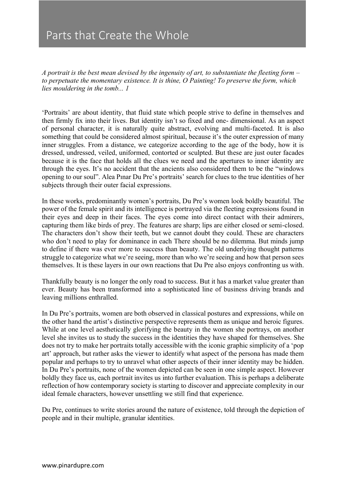## Parts that Create the Whole

*A portrait is the best mean devised by the ingenuity of art, to substantiate the fleeting form – to perpetuate the momentary existence. It is thine, O Painting! To preserve the form, which lies mouldering in the tomb... 1* 

'Portraits' are about identity, that fluid state which people strive to define in themselves and then firmly fix into their lives. But identity isn't so fixed and one- dimensional. As an aspect of personal character, it is naturally quite abstract, evolving and multi-faceted. It is also something that could be considered almost spiritual, because it's the outer expression of many inner struggles. From a distance, we categorize according to the age of the body, how it is dressed, undressed, veiled, uniformed, contorted or sculpted. But these are just outer facades because it is the face that holds all the clues we need and the apertures to inner identity are through the eyes. It's no accident that the ancients also considered them to be the "windows opening to our soul". Alea Pınar Du Pre's portraits' search for clues to the true identities of her subjects through their outer facial expressions.

In these works, predominantly women's portraits, Du Pre's women look boldly beautiful. The power of the female spirit and its intelligence is portrayed via the fleeting expressions found in their eyes and deep in their faces. The eyes come into direct contact with their admirers, capturing them like birds of prey. The features are sharp; lips are either closed or semi-closed. The characters don't show their teeth, but we cannot doubt they could. These are characters who don't need to play for dominance in each There should be no dilemma. But minds jump to define if there was ever more to success than beauty. The old underlying thought patterns struggle to categorize what we're seeing, more than who we're seeing and how that person sees themselves. It is these layers in our own reactions that Du Pre also enjoys confronting us with.

Thankfully beauty is no longer the only road to success. But it has a market value greater than ever. Beauty has been transformed into a sophisticated line of business driving brands and leaving millions enthralled.

In Du Pre's portraits, women are both observed in classical postures and expressions, while on the other hand the artist's distinctive perspective represents them as unique and heroic figures. While at one level aesthetically glorifying the beauty in the women she portrays, on another level she invites us to study the success in the identities they have shaped for themselves. She does not try to make her portraits totally accessible with the iconic graphic simplicity of a 'pop art' approach, but rather asks the viewer to identify what aspect of the persona has made them popular and perhaps to try to unravel what other aspects of their inner identity may be hidden. In Du Pre's portraits, none of the women depicted can be seen in one simple aspect. However boldly they face us, each portrait invites us into further evaluation. This is perhaps a deliberate reflection of how contemporary society is starting to discover and appreciate complexity in our ideal female characters, however unsettling we still find that experience.

Du Pre, continues to write stories around the nature of existence, told through the depiction of people and in their multiple, granular identities.